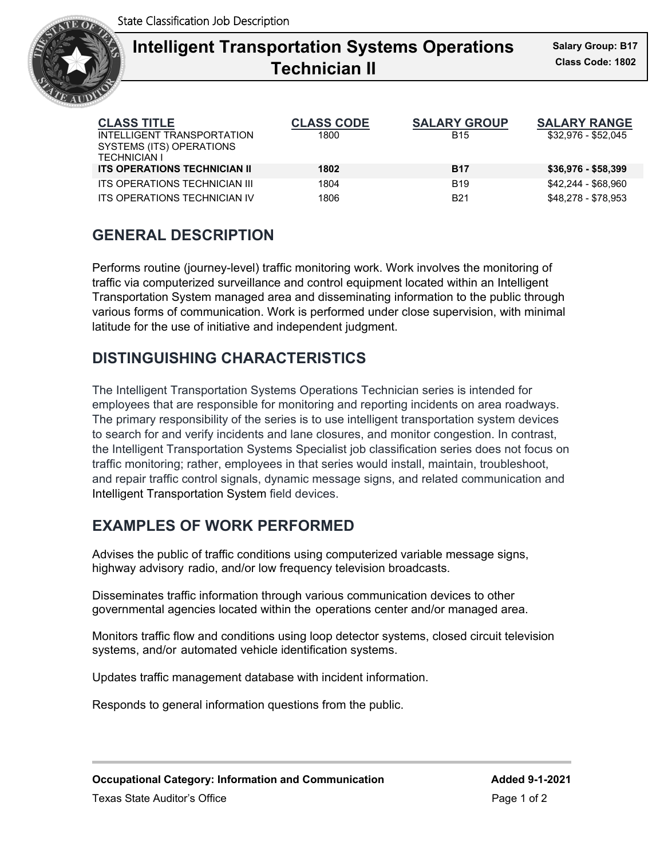

# **Intelligent Transportation Systems Operations** Sala **Technician II**

| <b>CLASS TITLE</b>                              | <b>CLASS CODE</b> | <b>SALARY GROUP</b> | <b>SALARY RANGE</b> |
|-------------------------------------------------|-------------------|---------------------|---------------------|
| INTELLIGENT TRANSPORTATION                      | 1800              | <b>B15</b>          | \$32,976 - \$52,045 |
| SYSTEMS (ITS) OPERATIONS<br><b>TECHNICIAN I</b> |                   |                     |                     |
| <b>ITS OPERATIONS TECHNICIAN II</b>             | 1802              | <b>B17</b>          | $$36,976 - $58,399$ |
| <b>ITS OPERATIONS TECHNICIAN III</b>            | 1804              | <b>B19</b>          | \$42,244 - \$68,960 |
| ITS OPERATIONS TECHNICIAN IV                    | 1806              | B21                 | \$48.278 - \$78.953 |

### **GENERAL DESCRIPTION**

Performs routine (journey-level) traffic monitoring work. Work involves the monitoring of traffic via computerized surveillance and control equipment located within an Intelligent Transportation System managed area and disseminating information to the public through various forms of communication. Work is performed under close supervision, with minimal latitude for the use of initiative and independent judgment.

## **DISTINGUISHING CHARACTERISTICS**

The Intelligent Transportation Systems Operations Technician series is intended for employees that are responsible for monitoring and reporting incidents on area roadways. The primary responsibility of the series is to use intelligent transportation system devices to search for and verify incidents and lane closures, and monitor congestion. In contrast, the Intelligent Transportation Systems Specialist job classification series does not focus on traffic monitoring; rather, employees in that series would install, maintain, troubleshoot, and repair traffic control signals, dynamic message signs, and related communication and Intelligent Transportation System field devices.

# **EXAMPLES OF WORK PERFORMED**

Advises the public of traffic conditions using computerized variable message signs, highway advisory radio, and/or low frequency television broadcasts.

Disseminates traffic information through various communication devices to other governmental agencies located within the operations center and/or managed area.

Monitors traffic flow and conditions using loop detector systems, closed circuit television systems, and/or automated vehicle identification systems.

Updates traffic management database with incident information.

Responds to general information questions from the public.